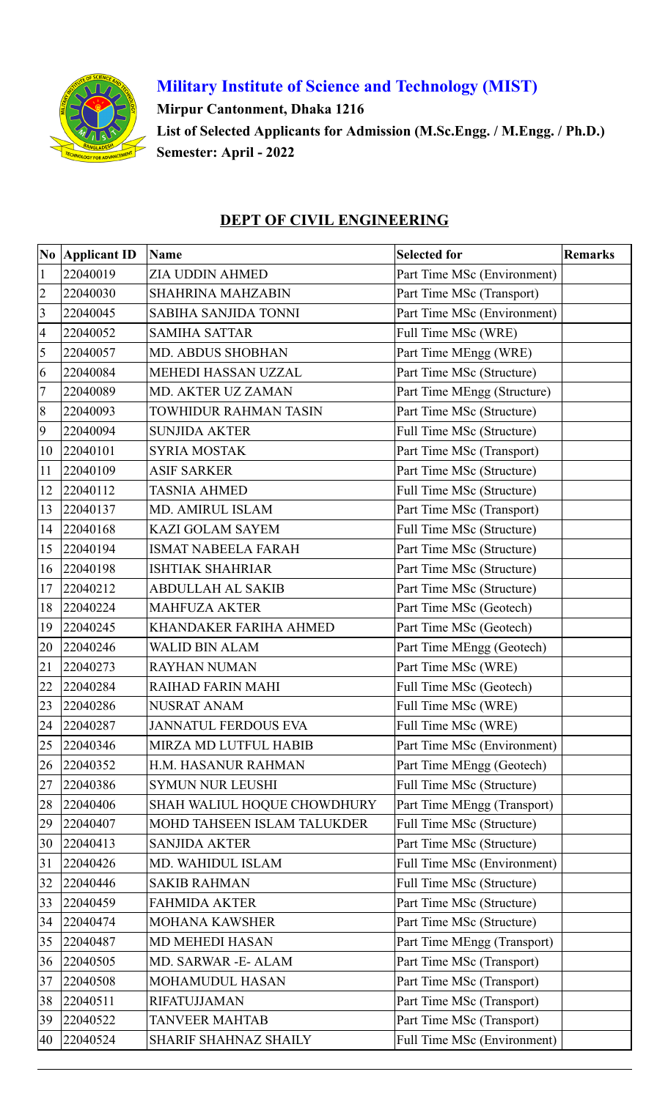

## **Military Institute of Science and Technology (MIST)**

**Mirpur Cantonment, Dhaka 1216**

**List of Selected Applicants for Admission (M.Sc.Engg. / M.Engg. / Ph.D.) Semester: April - 2022**

### **DEPT OF CIVIL ENGINEERING**

|                 | No Applicant ID | <b>Name</b>                 | <b>Selected for</b>         | <b>Remarks</b> |
|-----------------|-----------------|-----------------------------|-----------------------------|----------------|
| $\mathbf{1}$    | 22040019        | ZIA UDDIN AHMED             | Part Time MSc (Environment) |                |
| $\overline{c}$  | 22040030        | <b>SHAHRINA MAHZABIN</b>    | Part Time MSc (Transport)   |                |
| $\overline{3}$  | 22040045        | SABIHA SANJIDA TONNI        | Part Time MSc (Environment) |                |
| $\overline{4}$  | 22040052        | <b>SAMIHA SATTAR</b>        | Full Time MSc (WRE)         |                |
| 5               | 22040057        | MD. ABDUS SHOBHAN           | Part Time MEngg (WRE)       |                |
| 6               | 22040084        | MEHEDI HASSAN UZZAL         | Part Time MSc (Structure)   |                |
| $7\phantom{.0}$ | 22040089        | MD. AKTER UZ ZAMAN          | Part Time MEngg (Structure) |                |
| $8\,$           | 22040093        | TOWHIDUR RAHMAN TASIN       | Part Time MSc (Structure)   |                |
| 9               | 22040094        | <b>SUNJIDA AKTER</b>        | Full Time MSc (Structure)   |                |
| 10              | 22040101        | <b>SYRIA MOSTAK</b>         | Part Time MSc (Transport)   |                |
| 11              | 22040109        | <b>ASIF SARKER</b>          | Part Time MSc (Structure)   |                |
| 12              | 22040112        | <b>TASNIA AHMED</b>         | Full Time MSc (Structure)   |                |
| 13              | 22040137        | MD. AMIRUL ISLAM            | Part Time MSc (Transport)   |                |
| 14              | 22040168        | <b>KAZI GOLAM SAYEM</b>     | Full Time MSc (Structure)   |                |
| 15              | 22040194        | <b>ISMAT NABEELA FARAH</b>  | Part Time MSc (Structure)   |                |
| 16              | 22040198        | <b>ISHTIAK SHAHRIAR</b>     | Part Time MSc (Structure)   |                |
| 17              | 22040212        | <b>ABDULLAH AL SAKIB</b>    | Part Time MSc (Structure)   |                |
| 18              | 22040224        | <b>MAHFUZA AKTER</b>        | Part Time MSc (Geotech)     |                |
| 19              | 22040245        | KHANDAKER FARIHA AHMED      | Part Time MSc (Geotech)     |                |
| 20              | 22040246        | <b>WALID BIN ALAM</b>       | Part Time MEngg (Geotech)   |                |
| 21              | 22040273        | <b>RAYHAN NUMAN</b>         | Part Time MSc (WRE)         |                |
| 22              | 22040284        | RAIHAD FARIN MAHI           | Full Time MSc (Geotech)     |                |
| 23              | 22040286        | <b>NUSRAT ANAM</b>          | Full Time MSc (WRE)         |                |
| 24              | 22040287        | JANNATUL FERDOUS EVA        | Full Time MSc (WRE)         |                |
| 25              | 22040346        | MIRZA MD LUTFUL HABIB       | Part Time MSc (Environment) |                |
| 26              | 22040352        | H.M. HASANUR RAHMAN         | Part Time MEngg (Geotech)   |                |
| 27              | 22040386        | <b>SYMUN NUR LEUSHI</b>     | Full Time MSc (Structure)   |                |
| 28              | 22040406        | SHAH WALIUL HOQUE CHOWDHURY | Part Time MEngg (Transport) |                |
| 29              | 22040407        | MOHD TAHSEEN ISLAM TALUKDER | Full Time MSc (Structure)   |                |
| 30              | 22040413        | <b>SANJIDA AKTER</b>        | Part Time MSc (Structure)   |                |
| 31              | 22040426        | MD. WAHIDUL ISLAM           | Full Time MSc (Environment) |                |
| 32              | 22040446        | <b>SAKIB RAHMAN</b>         | Full Time MSc (Structure)   |                |
| 33              | 22040459        | <b>FAHMIDA AKTER</b>        | Part Time MSc (Structure)   |                |
| 34              | 22040474        | <b>MOHANA KAWSHER</b>       | Part Time MSc (Structure)   |                |
| 35              | 22040487        | MD MEHEDI HASAN             | Part Time MEngg (Transport) |                |
| 36              | 22040505        | MD. SARWAR - E- ALAM        | Part Time MSc (Transport)   |                |
| 37              | 22040508        | MOHAMUDUL HASAN             | Part Time MSc (Transport)   |                |
| 38              | 22040511        | <b>RIFATUJJAMAN</b>         | Part Time MSc (Transport)   |                |
| 39              | 22040522        | <b>TANVEER MAHTAB</b>       | Part Time MSc (Transport)   |                |
|                 | 40 22040524     | SHARIF SHAHNAZ SHAILY       | Full Time MSc (Environment) |                |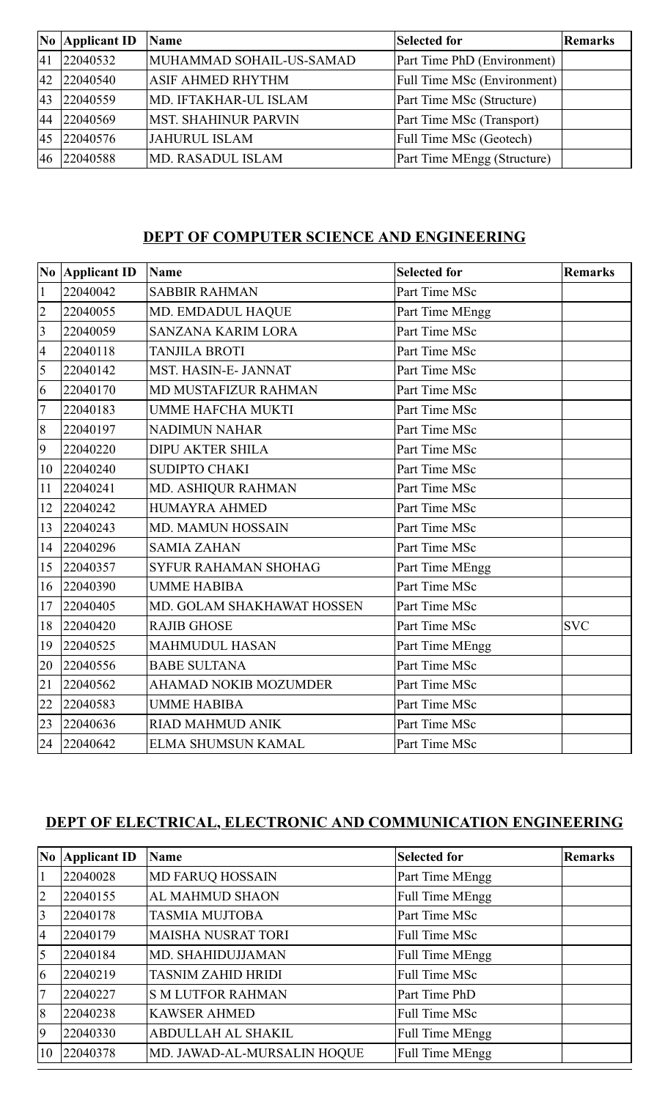|           | No Applicant ID | <b>Name</b>                 | Selected for                       | <b>Remarks</b> |
|-----------|-----------------|-----------------------------|------------------------------------|----------------|
| 41        | 22040532        | MUHAMMAD SOHAIL-US-SAMAD    | Part Time PhD (Environment)        |                |
| 42        | 22040540        | <b>ASIF AHMED RHYTHM</b>    | <b>Full Time MSc (Environment)</b> |                |
| 43        | 22040559        | MD. IFTAKHAR-UL ISLAM       | Part Time MSc (Structure)          |                |
| 44        | 22040569        | <b>MST. SHAHINUR PARVIN</b> | Part Time MSc (Transport)          |                |
| <b>45</b> | 22040576        | <b>JAHURUL ISLAM</b>        | Full Time MSc (Geotech)            |                |
| 46        | 22040588        | <b>MD. RASADUL ISLAM</b>    | Part Time MEngg (Structure)        |                |

## **DEPT OF COMPUTER SCIENCE AND ENGINEERING**

| No             | <b>Applicant ID</b> | <b>Name</b>                  | <b>Selected for</b> | <b>Remarks</b> |
|----------------|---------------------|------------------------------|---------------------|----------------|
| $\mathbf{1}$   | 22040042            | <b>SABBIR RAHMAN</b>         | Part Time MSc       |                |
| $\overline{2}$ | 22040055            | MD. EMDADUL HAQUE            | Part Time MEngg     |                |
| $\overline{3}$ | 22040059            | <b>SANZANA KARIM LORA</b>    | Part Time MSc       |                |
| $\overline{4}$ | 22040118            | <b>TANJILA BROTI</b>         | Part Time MSc       |                |
| 5              | 22040142            | MST. HASIN-E- JANNAT         | Part Time MSc       |                |
| 6              | 22040170            | MD MUSTAFIZUR RAHMAN         | Part Time MSc       |                |
| $\overline{7}$ | 22040183            | <b>UMME HAFCHA MUKTI</b>     | Part Time MSc       |                |
| 8              | 22040197            | <b>NADIMUN NAHAR</b>         | Part Time MSc       |                |
| 9              | 22040220            | <b>DIPU AKTER SHILA</b>      | Part Time MSc       |                |
| 10             | 22040240            | <b>SUDIPTO CHAKI</b>         | Part Time MSc       |                |
| 11             | 22040241            | MD. ASHIQUR RAHMAN           | Part Time MSc       |                |
| 12             | 22040242            | <b>HUMAYRA AHMED</b>         | Part Time MSc       |                |
| 13             | 22040243            | MD. MAMUN HOSSAIN            | Part Time MSc       |                |
| 14             | 22040296            | <b>SAMIA ZAHAN</b>           | Part Time MSc       |                |
| 15             | 22040357            | <b>SYFUR RAHAMAN SHOHAG</b>  | Part Time MEngg     |                |
| 16             | 22040390            | <b>UMME HABIBA</b>           | Part Time MSc       |                |
| 17             | 22040405            | MD. GOLAM SHAKHAWAT HOSSEN   | Part Time MSc       |                |
| 18             | 22040420            | <b>RAJIB GHOSE</b>           | Part Time MSc       | <b>SVC</b>     |
| 19             | 22040525            | <b>MAHMUDUL HASAN</b>        | Part Time MEngg     |                |
| 20             | 22040556            | <b>BABE SULTANA</b>          | Part Time MSc       |                |
| 21             | 22040562            | <b>AHAMAD NOKIB MOZUMDER</b> | Part Time MSc       |                |
| 22             | 22040583            | <b>UMME HABIBA</b>           | Part Time MSc       |                |
| 23             | 22040636            | <b>RIAD MAHMUD ANIK</b>      | Part Time MSc       |                |
| 24             | 22040642            | ELMA SHUMSUN KAMAL           | Part Time MSc       |                |

## **DEPT OF ELECTRICAL, ELECTRONIC AND COMMUNICATION ENGINEERING**

| N <sub>0</sub> | <b>Applicant ID</b> | <b>Name</b>                 | <b>Selected for</b>    | <b>Remarks</b> |
|----------------|---------------------|-----------------------------|------------------------|----------------|
|                | 22040028            | <b>MD FARUQ HOSSAIN</b>     | Part Time MEngg        |                |
| $\overline{2}$ | 22040155            | <b>AL MAHMUD SHAON</b>      | Full Time MEngg        |                |
| $\overline{3}$ | 22040178            | <b>TASMIA MUJTOBA</b>       | Part Time MSc          |                |
| $\overline{A}$ | 22040179            | <b>MAISHA NUSRAT TORI</b>   | <b>Full Time MSc</b>   |                |
| 5              | 22040184            | MD. SHAHIDUJJAMAN           | Full Time MEngg        |                |
| $\overline{6}$ | 22040219            | <b>TASNIM ZAHID HRIDI</b>   | <b>Full Time MSc</b>   |                |
| $\overline{7}$ | 22040227            | <b>S M LUTFOR RAHMAN</b>    | Part Time PhD          |                |
| 8              | 22040238            | <b>KAWSER AHMED</b>         | <b>Full Time MSc</b>   |                |
| 9              | 22040330            | ABDULLAH AL SHAKIL          | <b>Full Time MEngg</b> |                |
| 10             | 22040378            | MD. JAWAD-AL-MURSALIN HOQUE | Full Time MEngg        |                |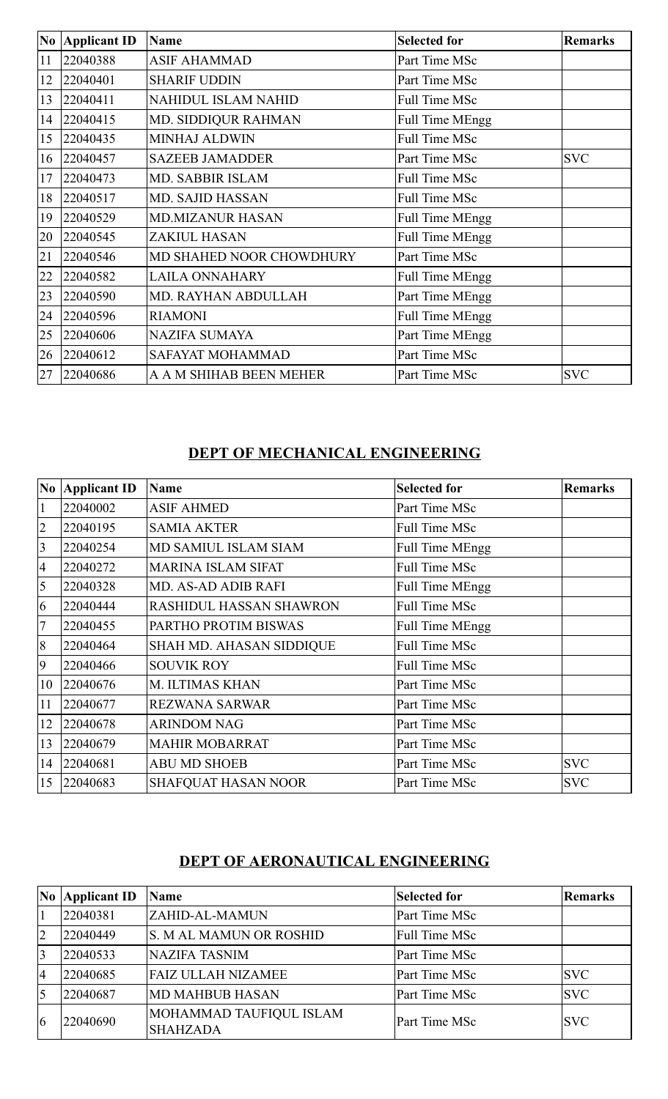|    | <b>No Applicant ID</b> | <b>Name</b>              | <b>Selected for</b>    | <b>Remarks</b> |
|----|------------------------|--------------------------|------------------------|----------------|
| 11 | 22040388               | <b>ASIF AHAMMAD</b>      | Part Time MSc          |                |
| 12 | 22040401               | <b>SHARIF UDDIN</b>      | Part Time MSc          |                |
| 13 | 22040411               | NAHIDUL ISLAM NAHID      | Full Time MSc          |                |
| 14 | 22040415               | MD. SIDDIQUR RAHMAN      | <b>Full Time MEngg</b> |                |
| 15 | 22040435               | <b>MINHAJ ALDWIN</b>     | <b>Full Time MSc</b>   |                |
| 16 | 22040457               | <b>SAZEEB JAMADDER</b>   | Part Time MSc          | <b>SVC</b>     |
| 17 | 22040473               | MD. SABBIR ISLAM         | Full Time MSc          |                |
| 18 | 22040517               | <b>MD. SAJID HASSAN</b>  | Full Time MSc          |                |
| 19 | 22040529               | <b>MD.MIZANUR HASAN</b>  | <b>Full Time MEngg</b> |                |
| 20 | 22040545               | <b>ZAKIUL HASAN</b>      | <b>Full Time MEngg</b> |                |
| 21 | 22040546               | MD SHAHED NOOR CHOWDHURY | Part Time MSc          |                |
| 22 | 22040582               | <b>LAILA ONNAHARY</b>    | <b>Full Time MEngg</b> |                |
| 23 | 22040590               | MD. RAYHAN ABDULLAH      | Part Time MEngg        |                |
| 24 | 22040596               | <b>RIAMONI</b>           | <b>Full Time MEngg</b> |                |
| 25 | 22040606               | <b>NAZIFA SUMAYA</b>     | Part Time MEngg        |                |
| 26 | 22040612               | SAFAYAT MOHAMMAD         | Part Time MSc          |                |
| 27 | 22040686               | A A M SHIHAB BEEN MEHER  | Part Time MSc          | <b>SVC</b>     |

# **DEPT OF MECHANICAL ENGINEERING**

|                 | No Applicant ID | <b>Name</b>                     | <b>Selected for</b>    | <b>Remarks</b> |
|-----------------|-----------------|---------------------------------|------------------------|----------------|
| $\mathbf{1}$    | 22040002        | <b>ASIF AHMED</b>               | Part Time MSc          |                |
| $\overline{2}$  | 22040195        | <b>SAMIA AKTER</b>              | Full Time MSc          |                |
| $\overline{3}$  | 22040254        | MD SAMIUL ISLAM SIAM            | <b>Full Time MEngg</b> |                |
| $\overline{4}$  | 22040272        | <b>MARINA ISLAM SIFAT</b>       | <b>Full Time MSc</b>   |                |
| $\overline{5}$  | 22040328        | MD. AS-AD ADIB RAFI             | Full Time MEngg        |                |
| 6               | 22040444        | RASHIDUL HASSAN SHAWRON         | <b>Full Time MSc</b>   |                |
| $7\phantom{.0}$ | 22040455        | PARTHO PROTIM BISWAS            | <b>Full Time MEngg</b> |                |
| 8               | 22040464        | <b>SHAH MD. AHASAN SIDDIQUE</b> | <b>Full Time MSc</b>   |                |
| 9               | 22040466        | <b>SOUVIK ROY</b>               | <b>Full Time MSc</b>   |                |
| 10              | 22040676        | M. ILTIMAS KHAN                 | Part Time MSc          |                |
| 11              | 22040677        | <b>REZWANA SARWAR</b>           | Part Time MSc          |                |
| 12              | 22040678        | <b>ARINDOM NAG</b>              | Part Time MSc          |                |
| 13              | 22040679        | <b>MAHIR MOBARRAT</b>           | Part Time MSc          |                |
| 14              | 22040681        | <b>ABU MD SHOEB</b>             | Part Time MSc          | <b>SVC</b>     |
| 15              | 22040683        | <b>SHAFQUAT HASAN NOOR</b>      | Part Time MSc          | <b>SVC</b>     |

## **DEPT OF AERONAUTICAL ENGINEERING**

| N <sub>0</sub> | <b>Applicant ID</b> | Name                                       | <b>Selected for</b>  | Remarks    |
|----------------|---------------------|--------------------------------------------|----------------------|------------|
|                | 22040381            | <b>ZAHID-AL-MAMUN</b>                      | Part Time MSc        |            |
| $\overline{2}$ | 22040449            | <b>S. M AL MAMUN OR ROSHID</b>             | <b>Full Time MSc</b> |            |
| $\overline{3}$ | 22040533            | <b>NAZIFA TASNIM</b>                       | Part Time MSc        |            |
| $\overline{4}$ | 22040685            | <b>FAIZ ULLAH NIZAMEE</b>                  | Part Time MSc        | <b>SVC</b> |
|                | 22040687            | <b>MD MAHBUB HASAN</b>                     | Part Time MSc        | <b>SVC</b> |
| 16             | 22040690            | MOHAMMAD TAUFIQUL ISLAM<br><b>SHAHZADA</b> | <b>Part Time MSc</b> | <b>SVC</b> |